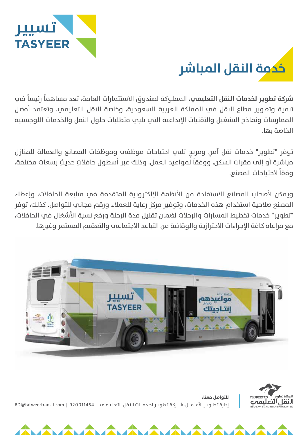



**شركة تطوير لخدمات النقل التعليمي**، المملوكة لصندوق الاستثمارات العامة، تعد مساهماً رئيساً في تنمية وتطوير قطاع النقل في المملكة العربية السعودية، وخاصة النقل التعليمي، وتعتمد أفضل الممارسات ونماذج التشغيل والتقنيات الإبداعية التي تلبي متطلبات حلول النقل والخدمات اللوجستية الخاصة بها.

توفر "تطوير" خدمات نقل آمن ومريح تلبي احتياجات موظفىي وموظفات المصانع والعمالة للمنازل ً مباشرة أو إلى مقرات السكن، ووفقا ٍ لمواعيد العمل، وذلك عبر أسطول حافلات ٍ حديث بسعات مختلفة، ً وفقا لاحتياجات المصنع.

ويمكن لأصحاب المصانع الاستفادة من الأنظمة الإلكترونية المتقدمة في متابعة الحافلات، وإعطاء المصنع صلاحية استخدام هذه الخدمات، وتوفير مركز رعاية للعملاء ورقم مجاني للتواصل. كذلك، توفر "تطوير" خدمات تخطيط المسارات والرحلات لضمان تقليل مدة الرحلة ورفع نسبة الأشغال في الحافلات، مع مراعاة كافة الإجراءات الاحترازية والوقائية من التباعد الاجتماعي والتعقيم المستمر وغيرها.





**للتواصل معنا:** إدارة تـطـــويــر الأعــــمــال، شـــــركـة تــطويـــر لخــدمـــــات النـقـل التـعـلـيــمــي | 920011454 | com.tatweertransit@BD